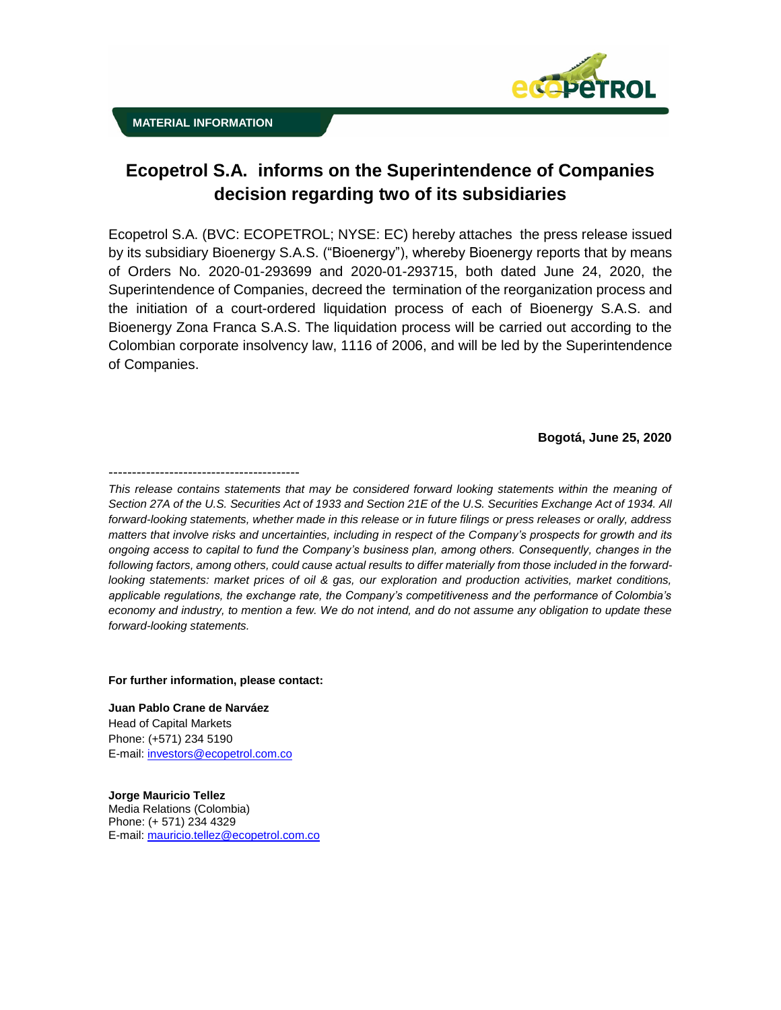

## **Ecopetrol S.A. informs on the Superintendence of Companies decision regarding two of its subsidiaries**

Ecopetrol S.A. (BVC: ECOPETROL; NYSE: EC) hereby attaches the press release issued by its subsidiary Bioenergy S.A.S. ("Bioenergy"), whereby Bioenergy reports that by means of Orders No. 2020-01-293699 and 2020-01-293715, both dated June 24, 2020, the Superintendence of Companies, decreed the termination of the reorganization process and the initiation of a court-ordered liquidation process of each of Bioenergy S.A.S. and Bioenergy Zona Franca S.A.S. The liquidation process will be carried out according to the Colombian corporate insolvency law, 1116 of 2006, and will be led by the Superintendence of Companies.

**Bogotá, June 25, 2020**

## -----------------------------------------

*This release contains statements that may be considered forward looking statements within the meaning of Section 27A of the U.S. Securities Act of 1933 and Section 21E of the U.S. Securities Exchange Act of 1934. All forward-looking statements, whether made in this release or in future filings or press releases or orally, address matters that involve risks and uncertainties, including in respect of the Company's prospects for growth and its ongoing access to capital to fund the Company's business plan, among others. Consequently, changes in the following factors, among others, could cause actual results to differ materially from those included in the forwardlooking statements: market prices of oil & gas, our exploration and production activities, market conditions, applicable regulations, the exchange rate, the Company's competitiveness and the performance of Colombia's economy and industry, to mention a few. We do not intend, and do not assume any obligation to update these forward-looking statements.*

## **For further information, please contact:**

**Juan Pablo Crane de Narváez**  Head of Capital Markets Phone: (+571) 234 5190 E-mail[: investors@ecopetrol.com.co](mailto:investors@ecopetrol.com.co)

**Jorge Mauricio Tellez**  Media Relations (Colombia) Phone: (+ 571) 234 4329 E-mail[: mauricio.tellez@ecopetrol.com.co](mailto:mauricio.tellez@ecopetrol.com.co)